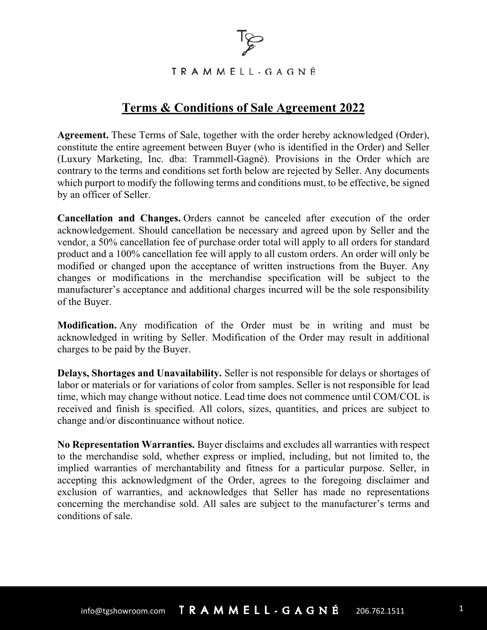

TRAMMELL-GAGNÉ

## **Terms & Conditions of Sale Agreement 2022**

**Agreement.** These Terms of Sale, together with the order hereby acknowledged (Order), constitute the entire agreement between Buyer (who is identified in the Order) and Seller (Luxury Marketing, Inc. dba: Trammell-Gagné). Provisions in the Order which are contrary to the terms and conditions set forth below are rejected by Seller. Any documents which purport to modify the following terms and conditions must, to be effective, be signed by an officer of Seller.

**Cancellation and Changes.** Orders cannot be canceled after execution of the order acknowledgement. Should cancellation be necessary and agreed upon by Seller and the vendor, a 50% cancellation fee of purchase order total will apply to all orders for standard product and a 100% cancellation fee will apply to all custom orders. An order will only be modified or changed upon the acceptance of written instructions from the Buyer. Any changes or modifications in the merchandise specification will be subject to the manufacturer's acceptance and additional charges incurred will be the sole responsibility of the Buyer.

**Modification.** Any modification of the Order must be in writing and must be acknowledged in writing by Seller. Modification of the Order may result in additional charges to be paid by the Buyer.

**Delays, Shortages and Unavailability.** Seller is not responsible for delays or shortages of labor or materials or for variations of color from samples. Seller is not responsible for lead time, which may change without notice. Lead time does not commence until COM/COL is received and finish is specified. All colors, sizes, quantities, and prices are subject to change and/or discontinuance without notice.

**No Representation Warranties.** Buyer disclaims and excludes all warranties with respect to the merchandise sold, whether express or implied, including, but not limited to, the implied warranties of merchantability and fitness for a particular purpose. Seller, in accepting this acknowledgment of the Order, agrees to the foregoing disclaimer and exclusion of warranties, and acknowledges that Seller has made no representations concerning the merchandise sold. All sales are subject to the manufacturer's terms and conditions of sale.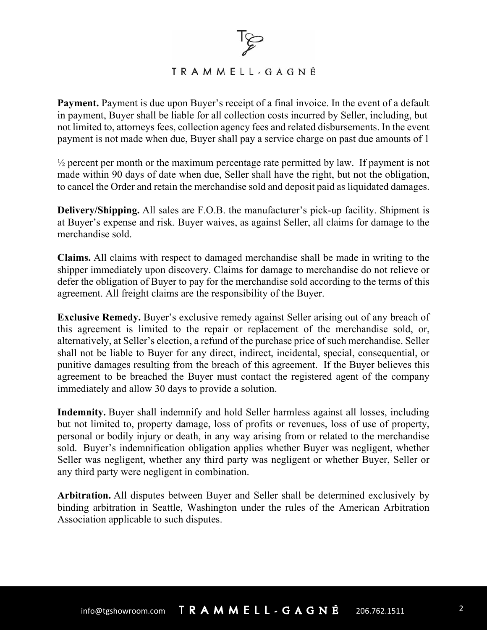## TRAMMELL-GAGNÉ

**Payment.** Payment is due upon Buyer's receipt of a final invoice. In the event of a default in payment, Buyer shall be liable for all collection costs incurred by Seller, including, but not limited to, attorneys fees, collection agency fees and related disbursements. In the event payment is not made when due, Buyer shall pay a service charge on past due amounts of 1

 $\frac{1}{2}$  percent per month or the maximum percentage rate permitted by law. If payment is not made within 90 days of date when due, Seller shall have the right, but not the obligation, to cancel the Order and retain the merchandise sold and deposit paid as liquidated damages.

**Delivery/Shipping.** All sales are F.O.B. the manufacturer's pick-up facility. Shipment is at Buyer's expense and risk. Buyer waives, as against Seller, all claims for damage to the merchandise sold.

**Claims.** All claims with respect to damaged merchandise shall be made in writing to the shipper immediately upon discovery. Claims for damage to merchandise do not relieve or defer the obligation of Buyer to pay for the merchandise sold according to the terms of this agreement. All freight claims are the responsibility of the Buyer.

**Exclusive Remedy.** Buyer's exclusive remedy against Seller arising out of any breach of this agreement is limited to the repair or replacement of the merchandise sold, or, alternatively, at Seller's election, a refund of the purchase price of such merchandise. Seller shall not be liable to Buyer for any direct, indirect, incidental, special, consequential, or punitive damages resulting from the breach of this agreement. If the Buyer believes this agreement to be breached the Buyer must contact the registered agent of the company immediately and allow 30 days to provide a solution.

**Indemnity.** Buyer shall indemnify and hold Seller harmless against all losses, including but not limited to, property damage, loss of profits or revenues, loss of use of property, personal or bodily injury or death, in any way arising from or related to the merchandise sold. Buyer's indemnification obligation applies whether Buyer was negligent, whether Seller was negligent, whether any third party was negligent or whether Buyer, Seller or any third party were negligent in combination.

**Arbitration.** All disputes between Buyer and Seller shall be determined exclusively by binding arbitration in Seattle, Washington under the rules of the American Arbitration Association applicable to such disputes.